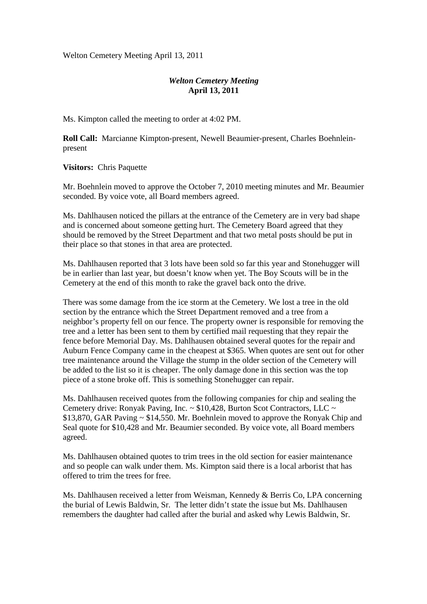Welton Cemetery Meeting April 13, 2011

## *Welton Cemetery Meeting*  **April 13, 2011**

Ms. Kimpton called the meeting to order at 4:02 PM.

**Roll Call:** Marcianne Kimpton-present, Newell Beaumier-present, Charles Boehnleinpresent

**Visitors:** Chris Paquette

Mr. Boehnlein moved to approve the October 7, 2010 meeting minutes and Mr. Beaumier seconded. By voice vote, all Board members agreed.

Ms. Dahlhausen noticed the pillars at the entrance of the Cemetery are in very bad shape and is concerned about someone getting hurt. The Cemetery Board agreed that they should be removed by the Street Department and that two metal posts should be put in their place so that stones in that area are protected.

Ms. Dahlhausen reported that 3 lots have been sold so far this year and Stonehugger will be in earlier than last year, but doesn't know when yet. The Boy Scouts will be in the Cemetery at the end of this month to rake the gravel back onto the drive.

There was some damage from the ice storm at the Cemetery. We lost a tree in the old section by the entrance which the Street Department removed and a tree from a neighbor's property fell on our fence. The property owner is responsible for removing the tree and a letter has been sent to them by certified mail requesting that they repair the fence before Memorial Day. Ms. Dahlhausen obtained several quotes for the repair and Auburn Fence Company came in the cheapest at \$365. When quotes are sent out for other tree maintenance around the Village the stump in the older section of the Cemetery will be added to the list so it is cheaper. The only damage done in this section was the top piece of a stone broke off. This is something Stonehugger can repair.

Ms. Dahlhausen received quotes from the following companies for chip and sealing the Cemetery drive: Ronyak Paving, Inc. ~ \$10,428, Burton Scot Contractors, LLC ~ \$13,870, GAR Paving ~ \$14,550. Mr. Boehnlein moved to approve the Ronyak Chip and Seal quote for \$10,428 and Mr. Beaumier seconded. By voice vote, all Board members agreed.

Ms. Dahlhausen obtained quotes to trim trees in the old section for easier maintenance and so people can walk under them. Ms. Kimpton said there is a local arborist that has offered to trim the trees for free.

Ms. Dahlhausen received a letter from Weisman, Kennedy & Berris Co, LPA concerning the burial of Lewis Baldwin, Sr. The letter didn't state the issue but Ms. Dahlhausen remembers the daughter had called after the burial and asked why Lewis Baldwin, Sr.